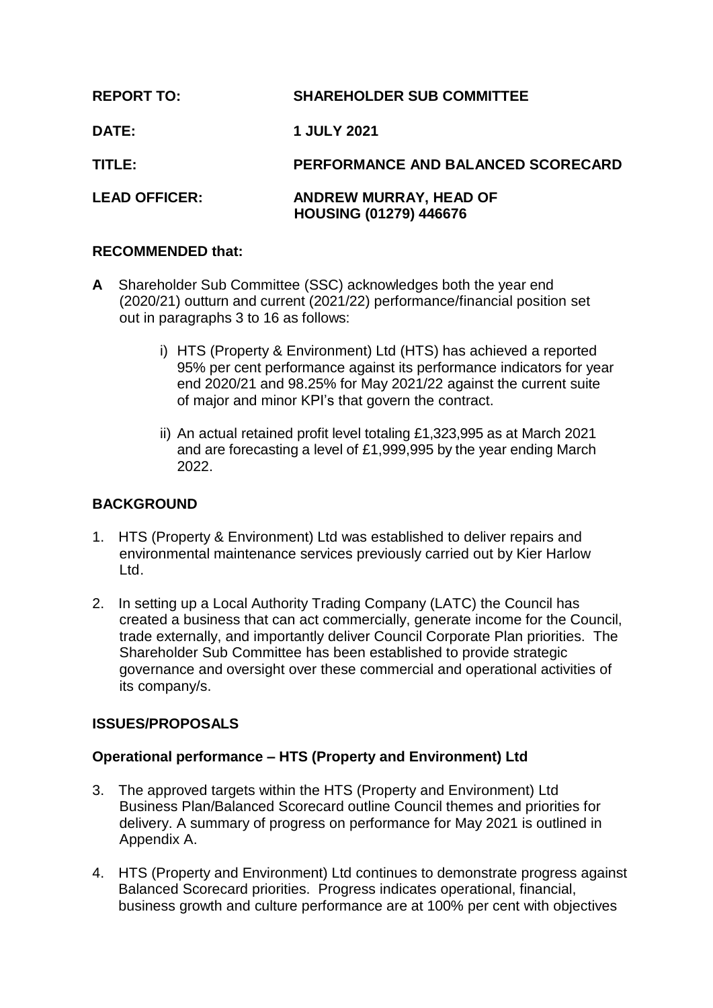| <b>REPORT TO:</b>    | <b>SHAREHOLDER SUB COMMITTEE</b>                               |
|----------------------|----------------------------------------------------------------|
| <b>DATE:</b>         | <b>1 JULY 2021</b>                                             |
| TITLE:               | PERFORMANCE AND BALANCED SCORECARD                             |
| <b>LEAD OFFICER:</b> | <b>ANDREW MURRAY, HEAD OF</b><br><b>HOUSING (01279) 446676</b> |

## **RECOMMENDED that:**

- **A** Shareholder Sub Committee (SSC) acknowledges both the year end (2020/21) outturn and current (2021/22) performance/financial position set out in paragraphs 3 to 16 as follows:
	- i) HTS (Property & Environment) Ltd (HTS) has achieved a reported 95% per cent performance against its performance indicators for year end 2020/21 and 98.25% for May 2021/22 against the current suite of major and minor KPI's that govern the contract.
	- ii) An actual retained profit level totaling £1,323,995 as at March 2021 and are forecasting a level of £1,999,995 by the year ending March 2022.

# **BACKGROUND**

- 1. HTS (Property & Environment) Ltd was established to deliver repairs and environmental maintenance services previously carried out by Kier Harlow Ltd.
- 2. In setting up a Local Authority Trading Company (LATC) the Council has created a business that can act commercially, generate income for the Council, trade externally, and importantly deliver Council Corporate Plan priorities. The Shareholder Sub Committee has been established to provide strategic governance and oversight over these commercial and operational activities of its company/s.

# **ISSUES/PROPOSALS**

# **Operational performance – HTS (Property and Environment) Ltd**

- 3. The approved targets within the HTS (Property and Environment) Ltd Business Plan/Balanced Scorecard outline Council themes and priorities for delivery. A summary of progress on performance for May 2021 is outlined in Appendix A.
- 4. HTS (Property and Environment) Ltd continues to demonstrate progress against Balanced Scorecard priorities. Progress indicates operational, financial, business growth and culture performance are at 100% per cent with objectives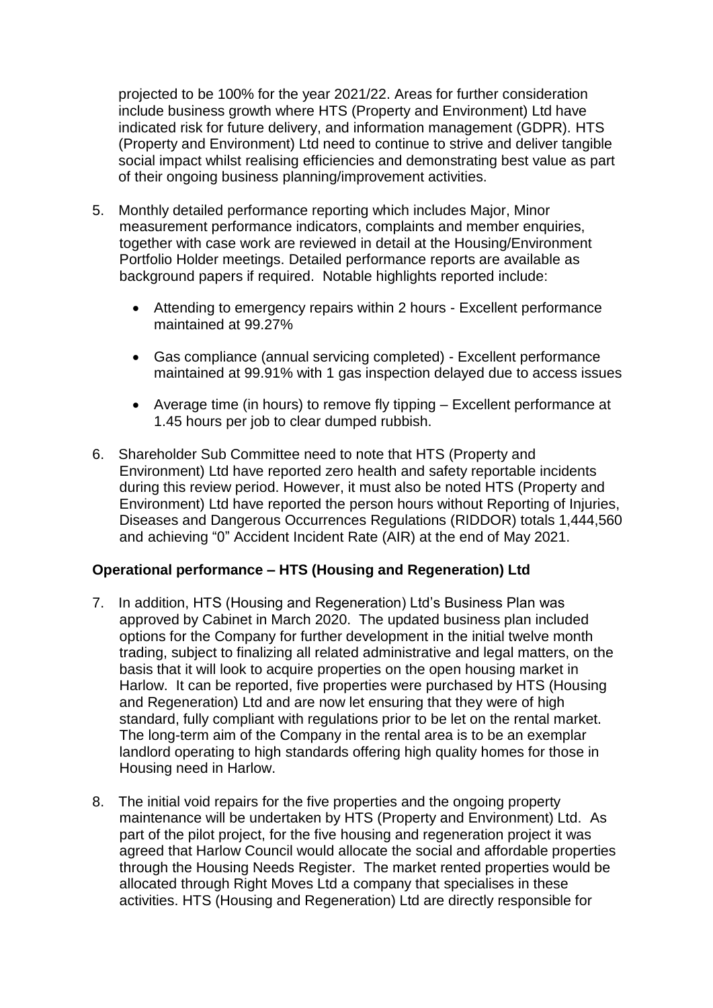projected to be 100% for the year 2021/22. Areas for further consideration include business growth where HTS (Property and Environment) Ltd have indicated risk for future delivery, and information management (GDPR). HTS (Property and Environment) Ltd need to continue to strive and deliver tangible social impact whilst realising efficiencies and demonstrating best value as part of their ongoing business planning/improvement activities.

- 5. Monthly detailed performance reporting which includes Major, Minor measurement performance indicators, complaints and member enquiries, together with case work are reviewed in detail at the Housing/Environment Portfolio Holder meetings. Detailed performance reports are available as background papers if required. Notable highlights reported include:
	- Attending to emergency repairs within 2 hours Excellent performance maintained at 99.27%
	- Gas compliance (annual servicing completed) Excellent performance maintained at 99.91% with 1 gas inspection delayed due to access issues
	- Average time (in hours) to remove fly tipping Excellent performance at 1.45 hours per job to clear dumped rubbish.
- 6. Shareholder Sub Committee need to note that HTS (Property and Environment) Ltd have reported zero health and safety reportable incidents during this review period. However, it must also be noted HTS (Property and Environment) Ltd have reported the person hours without Reporting of Injuries, Diseases and Dangerous Occurrences Regulations (RIDDOR) totals 1,444,560 and achieving "0" Accident Incident Rate (AIR) at the end of May 2021.

# **Operational performance – HTS (Housing and Regeneration) Ltd**

- 7. In addition, HTS (Housing and Regeneration) Ltd's Business Plan was approved by Cabinet in March 2020. The updated business plan included options for the Company for further development in the initial twelve month trading, subject to finalizing all related administrative and legal matters, on the basis that it will look to acquire properties on the open housing market in Harlow. It can be reported, five properties were purchased by HTS (Housing and Regeneration) Ltd and are now let ensuring that they were of high standard, fully compliant with regulations prior to be let on the rental market. The long-term aim of the Company in the rental area is to be an exemplar landlord operating to high standards offering high quality homes for those in Housing need in Harlow.
- 8. The initial void repairs for the five properties and the ongoing property maintenance will be undertaken by HTS (Property and Environment) Ltd. As part of the pilot project, for the five housing and regeneration project it was agreed that Harlow Council would allocate the social and affordable properties through the Housing Needs Register. The market rented properties would be allocated through Right Moves Ltd a company that specialises in these activities. HTS (Housing and Regeneration) Ltd are directly responsible for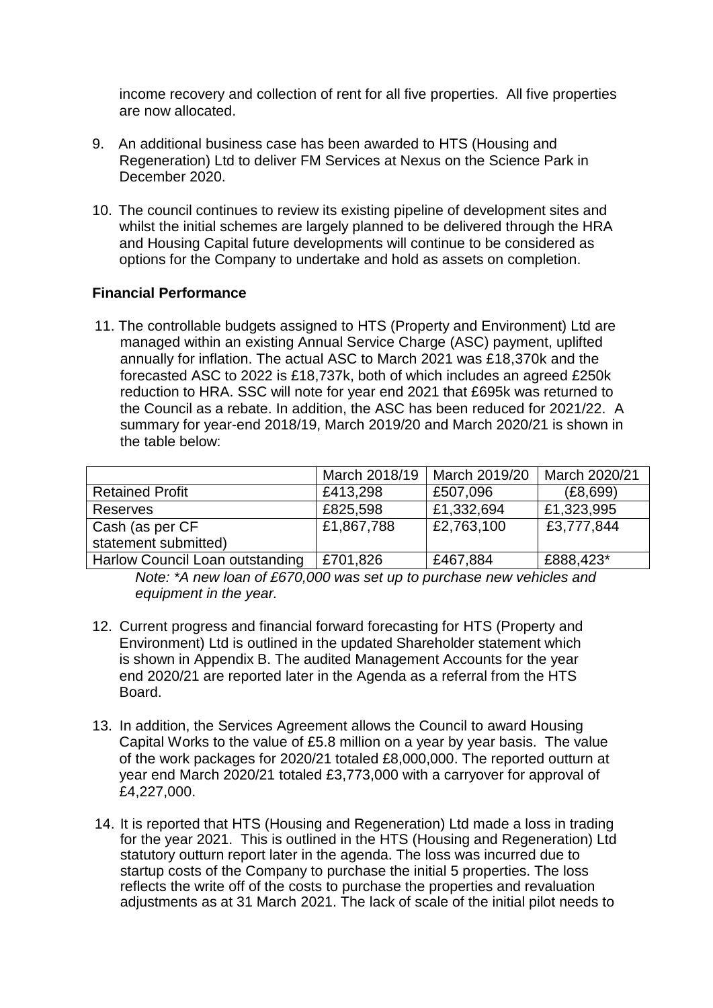income recovery and collection of rent for all five properties. All five properties are now allocated.

- 9. An additional business case has been awarded to HTS (Housing and Regeneration) Ltd to deliver FM Services at Nexus on the Science Park in December 2020.
- 10. The council continues to review its existing pipeline of development sites and whilst the initial schemes are largely planned to be delivered through the HRA and Housing Capital future developments will continue to be considered as options for the Company to undertake and hold as assets on completion.

### **Financial Performance**

11. The controllable budgets assigned to HTS (Property and Environment) Ltd are managed within an existing Annual Service Charge (ASC) payment, uplifted annually for inflation. The actual ASC to March 2021 was £18,370k and the forecasted ASC to 2022 is £18,737k, both of which includes an agreed £250k reduction to HRA. SSC will note for year end 2021 that £695k was returned to the Council as a rebate. In addition, the ASC has been reduced for 2021/22. A summary for year-end 2018/19, March 2019/20 and March 2020/21 is shown in the table below:

|                                 | March 2018/19 | March 2019/20 | March 2020/21 |
|---------------------------------|---------------|---------------|---------------|
| <b>Retained Profit</b>          | £413,298      | £507,096      | (E8, 699)     |
| <b>Reserves</b>                 | £825,598      | £1,332,694    | £1,323,995    |
| Cash (as per CF                 | £1,867,788    | £2,763,100    | £3,777,844    |
| statement submitted)            |               |               |               |
| Harlow Council Loan outstanding | £701,826      | £467,884      | £888,423*     |

*Note: \*A new loan of £670,000 was set up to purchase new vehicles and equipment in the year.*

- 12. Current progress and financial forward forecasting for HTS (Property and Environment) Ltd is outlined in the updated Shareholder statement which is shown in Appendix B. The audited Management Accounts for the year end 2020/21 are reported later in the Agenda as a referral from the HTS Board.
- 13. In addition, the Services Agreement allows the Council to award Housing Capital Works to the value of £5.8 million on a year by year basis. The value of the work packages for 2020/21 totaled £8,000,000. The reported outturn at year end March 2020/21 totaled £3,773,000 with a carryover for approval of £4,227,000.
- 14. It is reported that HTS (Housing and Regeneration) Ltd made a loss in trading for the year 2021. This is outlined in the HTS (Housing and Regeneration) Ltd statutory outturn report later in the agenda. The loss was incurred due to startup costs of the Company to purchase the initial 5 properties. The loss reflects the write off of the costs to purchase the properties and revaluation adjustments as at 31 March 2021. The lack of scale of the initial pilot needs to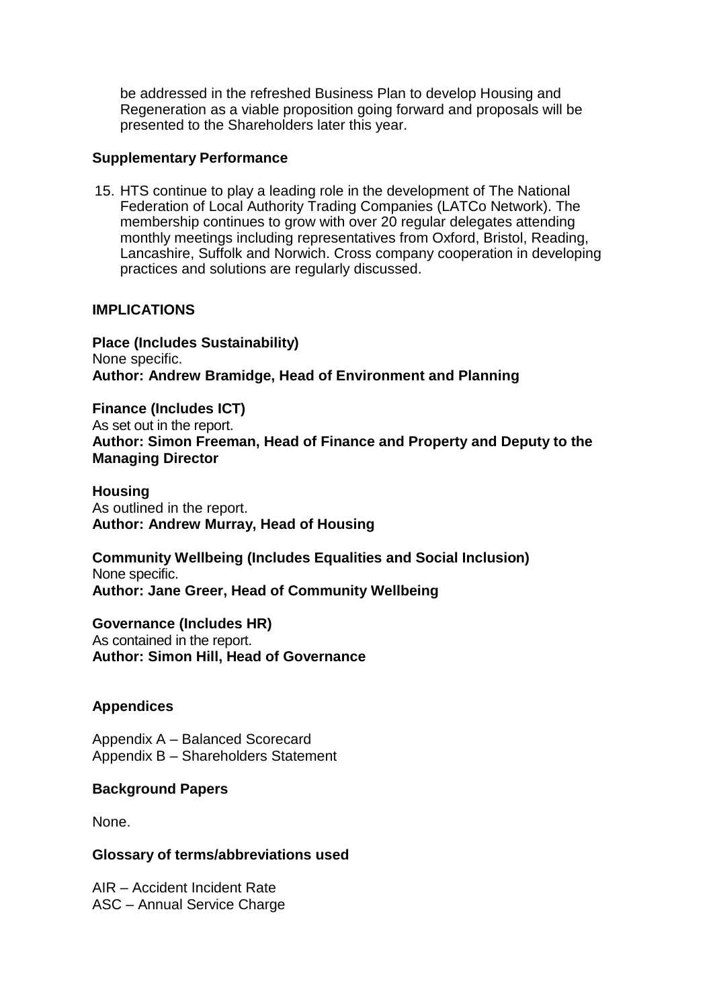be addressed in the refreshed Business Plan to develop Housing and Regeneration as a viable proposition going forward and proposals will be presented to the Shareholders later this year.

#### **Supplementary Performance**

15. HTS continue to play a leading role in the development of The National Federation of Local Authority Trading Companies (LATCo Network). The membership continues to grow with over 20 regular delegates attending monthly meetings including representatives from Oxford, Bristol, Reading, Lancashire, Suffolk and Norwich. Cross company cooperation in developing practices and solutions are regularly discussed.

### **IMPLICATIONS**

**Place (Includes Sustainability)** None specific. **Author: Andrew Bramidge, Head of Environment and Planning**

**Finance (Includes ICT)** As set out in the report. **Author: Simon Freeman, Head of Finance and Property and Deputy to the Managing Director**

### **Housing**

As outlined in the report. **Author: Andrew Murray, Head of Housing**

**Community Wellbeing (Includes Equalities and Social Inclusion)** None specific. **Author: Jane Greer, Head of Community Wellbeing**

**Governance (Includes HR)**

As contained in the report. **Author: Simon Hill, Head of Governance**

### **Appendices**

Appendix A – Balanced Scorecard Appendix B – Shareholders Statement

### **Background Papers**

None.

#### **Glossary of terms/abbreviations used**

AIR – Accident Incident Rate ASC – Annual Service Charge